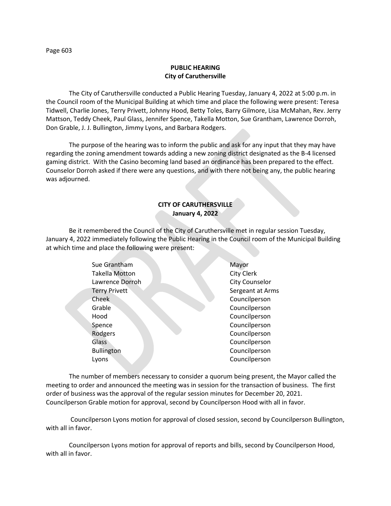## **PUBLIC HEARING City of Caruthersville**

The City of Caruthersville conducted a Public Hearing Tuesday, January 4, 2022 at 5:00 p.m. in the Council room of the Municipal Building at which time and place the following were present: Teresa Tidwell, Charlie Jones, Terry Privett, Johnny Hood, Betty Toles, Barry Gilmore, Lisa McMahan, Rev. Jerry Mattson, Teddy Cheek, Paul Glass, Jennifer Spence, Takella Motton, Sue Grantham, Lawrence Dorroh, Don Grable, J. J. Bullington, Jimmy Lyons, and Barbara Rodgers.

The purpose of the hearing was to inform the public and ask for any input that they may have regarding the zoning amendment towards adding a new zoning district designated as the B-4 licensed gaming district. With the Casino becoming land based an ordinance has been prepared to the effect. Counselor Dorroh asked if there were any questions, and with there not being any, the public hearing was adjourned.

# **CITY OF CARUTHERSVILLE January 4, 2022**

Be it remembered the Council of the City of Caruthersville met in regular session Tuesday, January 4, 2022 immediately following the Public Hearing in the Council room of the Municipal Building at which time and place the following were present:

| Sue Grantham          | Mayor             |
|-----------------------|-------------------|
| <b>Takella Motton</b> | <b>City Clerk</b> |
| Lawrence Dorroh       | City Counselor    |
| <b>Terry Privett</b>  | Sergeant at Arms  |
| Cheek                 | Councilperson     |
| Grable                | Councilperson     |
| Hood                  | Councilperson     |
| Spence                | Councilperson     |
| Rodgers               | Councilperson     |
| <b>Glass</b>          | Councilperson     |
| <b>Bullington</b>     | Councilperson     |
| Lyons                 | Councilperson     |
|                       |                   |

The number of members necessary to consider a quorum being present, the Mayor called the meeting to order and announced the meeting was in session for the transaction of business. The first order of business was the approval of the regular session minutes for December 20, 2021. Councilperson Grable motion for approval, second by Councilperson Hood with all in favor.

Councilperson Lyons motion for approval of closed session, second by Councilperson Bullington, with all in favor.

Councilperson Lyons motion for approval of reports and bills, second by Councilperson Hood, with all in favor.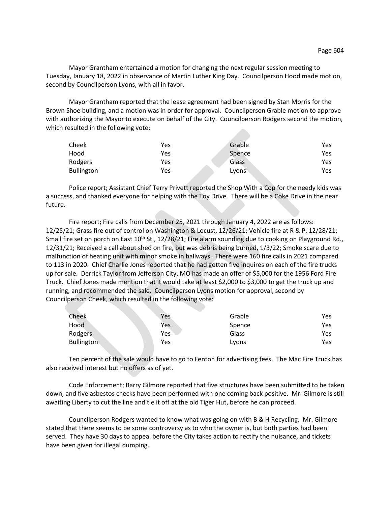Mayor Grantham entertained a motion for changing the next regular session meeting to Tuesday, January 18, 2022 in observance of Martin Luther King Day. Councilperson Hood made motion, second by Councilperson Lyons, with all in favor.

Mayor Grantham reported that the lease agreement had been signed by Stan Morris for the Brown Shoe building, and a motion was in order for approval. Councilperson Grable motion to approve with authorizing the Mayor to execute on behalf of the City. Councilperson Rodgers second the motion, which resulted in the following vote:

| Cheek      | Yes | Grable | Yes |
|------------|-----|--------|-----|
| Hood       | Yes | Spence | Yes |
| Rodgers    | Yes | Glass  | Yes |
| Bullington | Yes | Lyons  | Yes |

Police report; Assistant Chief Terry Privett reported the Shop With a Cop for the needy kids was a success, and thanked everyone for helping with the Toy Drive. There will be a Coke Drive in the near future.

Fire report; Fire calls from December 25, 2021 through January 4, 2022 are as follows: 12/25/21; Grass fire out of control on Washington & Locust, 12/26/21; Vehicle fire at R & P, 12/28/21; Small fire set on porch on East 10<sup>th</sup> St., 12/28/21; Fire alarm sounding due to cooking on Playground Rd., 12/31/21; Received a call about shed on fire, but was debris being burned, 1/3/22; Smoke scare due to malfunction of heating unit with minor smoke in hallways. There were 160 fire calls in 2021 compared to 113 in 2020. Chief Charlie Jones reported that he had gotten five inquires on each of the fire trucks up for sale. Derrick Taylor from Jefferson City, MO has made an offer of \$5,000 for the 1956 Ford Fire Truck. Chief Jones made mention that it would take at least \$2,000 to \$3,000 to get the truck up and running, and recommended the sale. Councilperson Lyons motion for approval, second by Councilperson Cheek, which resulted in the following vote:

| Cheek             | Yes | Grable | Yes |
|-------------------|-----|--------|-----|
| Hood              | Yes | Spence | Yes |
| Rodgers           | Yes | Glass  | Yes |
| <b>Bullington</b> | Yes | Lyons  | Yes |

Ten percent of the sale would have to go to Fenton for advertising fees. The Mac Fire Truck has also received interest but no offers as of yet.

Code Enforcement; Barry Gilmore reported that five structures have been submitted to be taken down, and five asbestos checks have been performed with one coming back positive. Mr. Gilmore is still awaiting Liberty to cut the line and tie it off at the old Tiger Hut, before he can proceed.

Councilperson Rodgers wanted to know what was going on with B & H Recycling. Mr. Gilmore stated that there seems to be some controversy as to who the owner is, but both parties had been served. They have 30 days to appeal before the City takes action to rectify the nuisance, and tickets have been given for illegal dumping.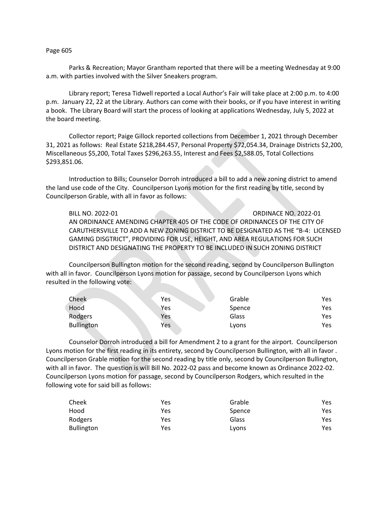## Page 605

Parks & Recreation; Mayor Grantham reported that there will be a meeting Wednesday at 9:00 a.m. with parties involved with the Silver Sneakers program.

Library report; Teresa Tidwell reported a Local Author's Fair will take place at 2:00 p.m. to 4:00 p.m. January 22, 22 at the Library. Authors can come with their books, or if you have interest in writing a book. The Library Board will start the process of looking at applications Wednesday, July 5, 2022 at the board meeting.

Collector report; Paige Gillock reported collections from December 1, 2021 through December 31, 2021 as follows: Real Estate \$218,284.457, Personal Property \$72,054.34, Drainage Districts \$2,200, Miscellaneous \$5,200, Total Taxes \$296,263.55, Interest and Fees \$2,588.05, Total Collections \$293,851.06.

Introduction to Bills; Counselor Dorroh introduced a bill to add a new zoning district to amend the land use code of the City. Councilperson Lyons motion for the first reading by title, second by Councilperson Grable, with all in favor as follows:

BILL NO. 2022-01 ORDINACE NO. 2022-01 AN ORDINANCE AMENDING CHAPTER 405 OF THE CODE OF ORDINANCES OF THE CITY OF CARUTHERSVILLE TO ADD A NEW ZONING DISTRICT TO BE DESIGNATED AS THE "B-4: LICENSED GAMING DISGTRICT", PROVIDING FOR USE, HEIGHT, AND AREA REGULATIONS FOR SUCH DISTRICT AND DESIGNATING THE PROPERTY TO BE INCLUDED IN SUCH ZONING DISTRICT

Councilperson Bullington motion for the second reading, second by Councilperson Bullington with all in favor. Councilperson Lyons motion for passage, second by Councilperson Lyons which resulted in the following vote:

| Cheek             | <b>Yes</b> | Grable | Yes |
|-------------------|------------|--------|-----|
| Hood              | Yes        | Spence | Yes |
| Rodgers           | Yes        | Glass  | Yes |
| <b>Bullington</b> | Yes        | Lyons  | Yes |

Counselor Dorroh introduced a bill for Amendment 2 to a grant for the airport. Councilperson Lyons motion for the first reading in its entirety, second by Councilperson Bullington, with all in favor . Councilperson Grable motion for the second reading by title only, second by Councilperson Bullington, with all in favor. The question is will Bill No. 2022-02 pass and become known as Ordinance 2022-02. Councilperson Lyons motion for passage, second by Councilperson Rodgers, which resulted in the following vote for said bill as follows:

| Cheek             | Yes | Grable | Yes  |
|-------------------|-----|--------|------|
| Hood              | Yes | Spence | Yes  |
| Rodgers           | Yes | Glass  | Yes  |
| <b>Bullington</b> | Yes | Lyons  | Yes. |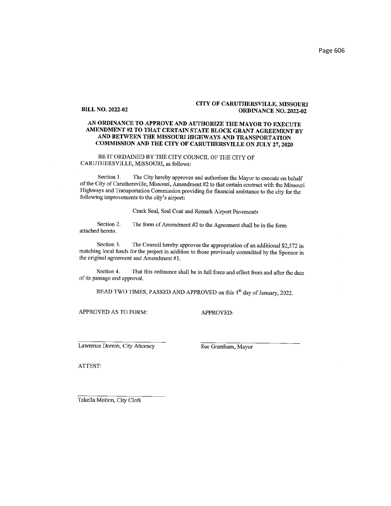#### **BILL NO. 2022-02**

## **CITY OF CARUTHERSVILLE, MISSOURI ORDINANCE NO. 2022-02**

## AN ORDINANCE TO APPROVE AND AUTHORIZE THE MAYOR TO EXECUTE AMENDMENT #2 TO THAT CERTAIN STATE BLOCK GRANT AGREEMENT BY AND BETWEEN THE MISSOURI HIGHWAYS AND TRANSPORTATION COMMISSION AND THE CITY OF CARUTHERSVILLE ON JULY 27, 2020

## BE IT ORDAINED BY THE CITY COUNCIL OF THE CITY OF CARUTHERSVILLE, MISSOURI, as follows:

The City hereby approves and authorizes the Mayor to execute on behalf Section 1. of the City of Caruthersville, Missouri, Amendment #2 to that certain contract with the Missouri Highways and Transportation Commission providing for financial assistance to the city for the following improvements to the city's airport:

Crack Seal, Seal Coat and Remark Airport Pavements

The form of Amendment #2 to the Agreement shall be in the form Section 2. attached hereto.

Section 3. The Council hereby approves the appropriation of an additional \$2,572 in matching local funds for the project in addition to those previously committed by the Sponsor in the original agreement and Amendment #1.

Section 4. That this ordinance shall be in full force and effect from and after the date of its passage and approval.

READ TWO TIMES, PASSED AND APPROVED on this 4<sup>th</sup> day of January, 2022.

APPROVED AS TO FORM:

**APPROVED:** 

Lawrence Dorroh, City Attorney

Sue Grantham, Mayor

ATTEST:

Takella Motton, City Clerk